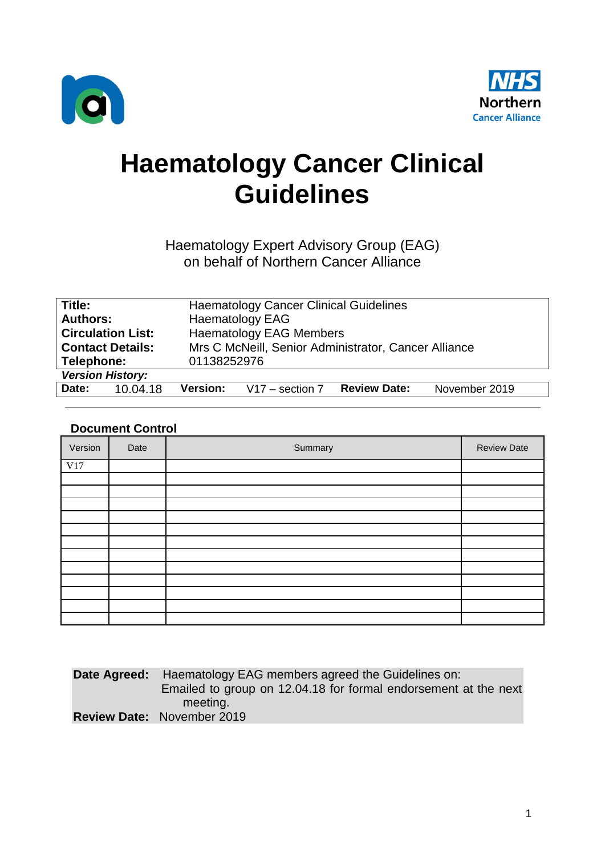



# **Haematology Cancer Clinical Guidelines**

### Haematology Expert Advisory Group (EAG) on behalf of Northern Cancer Alliance

| Title:                                                                          | <b>Haematology Cancer Clinical Guidelines</b>                                |  |  |  |
|---------------------------------------------------------------------------------|------------------------------------------------------------------------------|--|--|--|
| <b>Authors:</b>                                                                 | <b>Haematology EAG</b>                                                       |  |  |  |
| <b>Haematology EAG Members</b><br><b>Circulation List:</b>                      |                                                                              |  |  |  |
| Mrs C McNeill, Senior Administrator, Cancer Alliance<br><b>Contact Details:</b> |                                                                              |  |  |  |
| Telephone:                                                                      | 01138252976                                                                  |  |  |  |
| <b>Version History:</b>                                                         |                                                                              |  |  |  |
| Date:<br>10.04.18                                                               | November 2019<br><b>Version:</b><br>$V17 -$ section 7<br><b>Review Date:</b> |  |  |  |
|                                                                                 |                                                                              |  |  |  |

### **Document Control**

| Version | Date | Summary | <b>Review Date</b> |
|---------|------|---------|--------------------|
| V17     |      |         |                    |
|         |      |         |                    |
|         |      |         |                    |
|         |      |         |                    |
|         |      |         |                    |
|         |      |         |                    |
|         |      |         |                    |
|         |      |         |                    |
|         |      |         |                    |
|         |      |         |                    |
|         |      |         |                    |
|         |      |         |                    |
|         |      |         |                    |

| <b>Date Agreed:</b> Haematology EAG members agreed the Guidelines on: |
|-----------------------------------------------------------------------|
| Emailed to group on 12.04.18 for formal endorsement at the next       |
| meeting.                                                              |
| <b>Review Date: November 2019</b>                                     |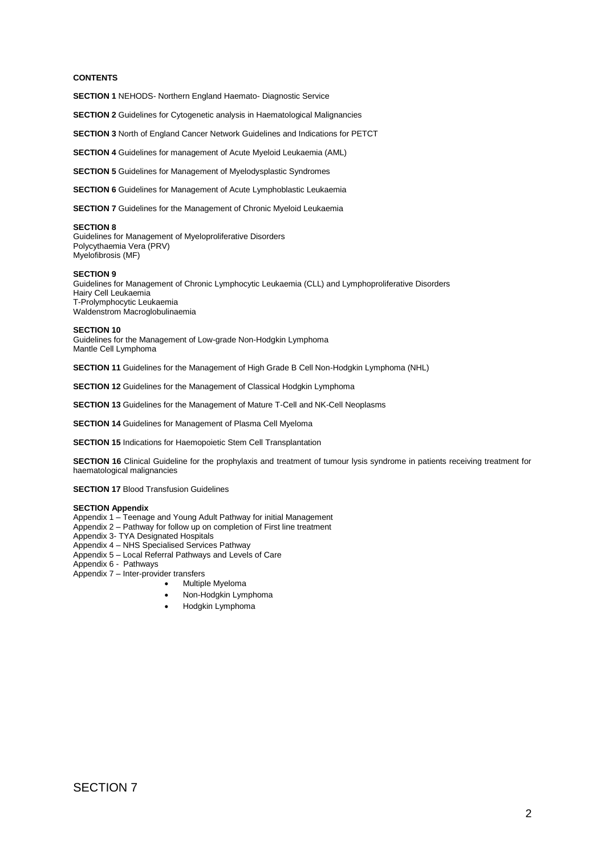#### **CONTENTS**

**SECTION 1** NEHODS- Northern England Haemato- Diagnostic Service

**SECTION 2** Guidelines for Cytogenetic analysis in Haematological Malignancies

**SECTION 3** North of England Cancer Network Guidelines and Indications for PETCT

**SECTION 4** Guidelines for management of Acute Myeloid Leukaemia (AML)

**SECTION 5** Guidelines for Management of Myelodysplastic Syndromes

**SECTION 6** Guidelines for Management of Acute Lymphoblastic Leukaemia

**SECTION 7** Guidelines for the Management of Chronic Myeloid Leukaemia

#### **SECTION 8**

Guidelines for Management of Myeloproliferative Disorders Polycythaemia Vera (PRV) Myelofibrosis (MF)

#### **SECTION 9**

Guidelines for Management of Chronic Lymphocytic Leukaemia (CLL) and Lymphoproliferative Disorders Hairy Cell Leukaemia T-Prolymphocytic Leukaemia Waldenstrom Macroglobulinaemia

#### **SECTION 10**

Guidelines for the Management of Low-grade Non-Hodgkin Lymphoma Mantle Cell Lymphoma

**SECTION 11** Guidelines for the Management of High Grade B Cell Non-Hodgkin Lymphoma (NHL)

**SECTION 12** Guidelines for the Management of Classical Hodgkin Lymphoma

**SECTION 13** Guidelines for the Management of Mature T-Cell and NK-Cell Neoplasms

**SECTION 14** Guidelines for Management of Plasma Cell Myeloma

**SECTION 15** Indications for Haemopoietic Stem Cell Transplantation

**SECTION 16** Clinical Guideline for the prophylaxis and treatment of tumour lysis syndrome in patients receiving treatment for haematological malignancies

**SECTION 17 Blood Transfusion Guidelines** 

#### **SECTION Appendix**

Appendix 1 – Teenage and Young Adult Pathway for initial Management

Appendix 2 – Pathway for follow up on completion of First line treatment

Appendix 3- TYA Designated Hospitals

Appendix 4 – NHS Specialised Services Pathway

Appendix 5 – Local Referral Pathways and Levels of Care

Appendix 6 - Pathways

Appendix 7 – Inter-provider transfers

- Multiple Myeloma
- Non-Hodgkin Lymphoma
- Hodgkin Lymphoma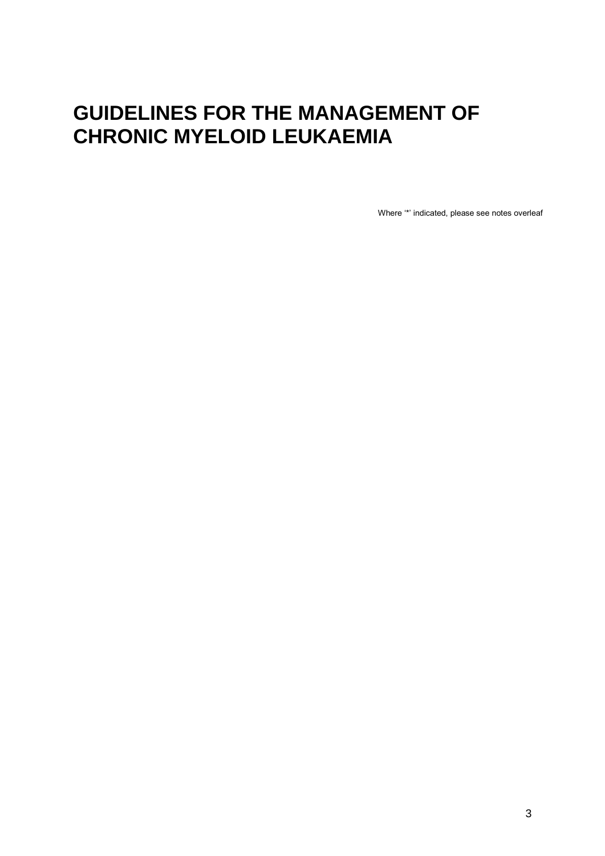## **GUIDELINES FOR THE MANAGEMENT OF CHRONIC MYELOID LEUKAEMIA**

Where '\*' indicated, please see notes overleaf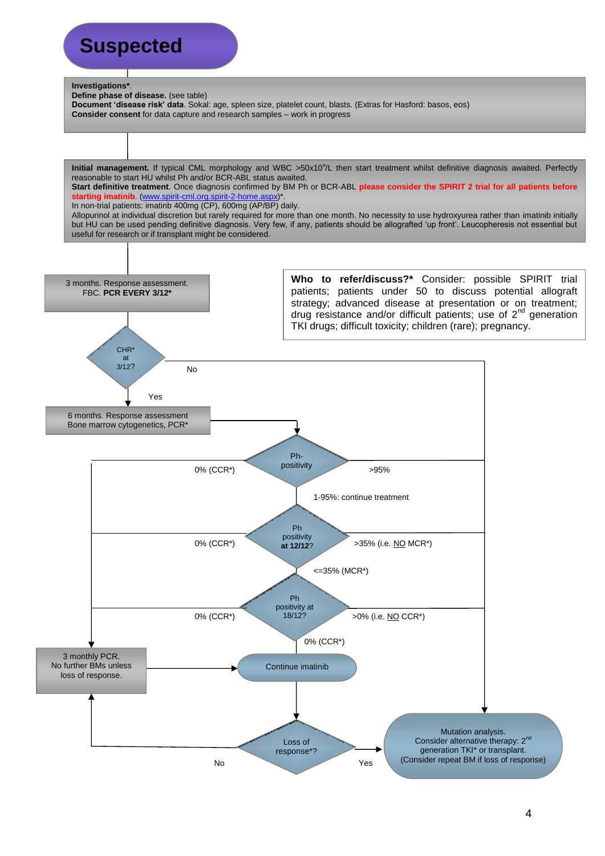